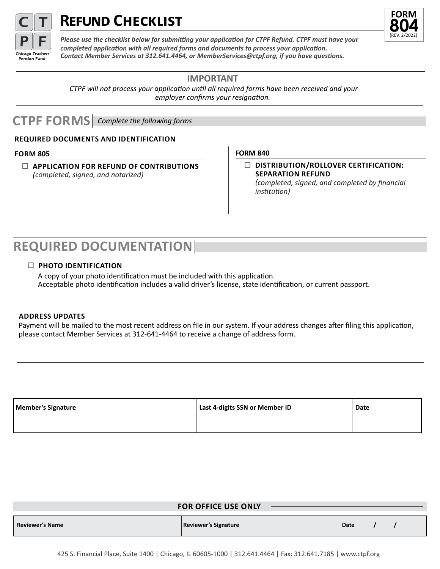

# **FORM REFUND CHECKLIST**



*Please use the checklist below for submitting your application for CTPF Refund. CTPF must have your completed application with all required forms and documents to process your application. Contact Member Services at 312.641.4464, or MemberServices@ctpf.org, if you have questions.*

## **IMPORTANT**

 *CTPF will not process your application until all required forms have been received and your employer confirms your resignation.* 

## **CTPF FORMS** *Complete the following forms*

## **REQUIRED DOCUMENTS AND IDENTIFICATION**

## **FORM 805**

 $\Box$  **APPLICATION FOR REFUND OF CONTRIBUTIONS** *(completed, signed, and notarized)*

## **FORM 840**

o **DISTRIBUTION/ROLLOVER CERTIFICATION: SEPARATION REFUND** *(completed, signed, and completed by financial institution)*

## **REQUIRED DOCUMENTATION**

## o **PHOTO IDENTIFICATION**

 A copy of your photo identification must be included with this application. Acceptable photo identification includes a valid driver's license, state identification, or current passport.

## **ADDRESS UPDATES**

Payment will be mailed to the most recent address on file in our system. If your address changes after filing this application, please contact Member Services at 312-641-4464 to receive a change of address form.

| Member's Signature | Last 4-digits SSN or Member ID | Date |
|--------------------|--------------------------------|------|
|                    |                                |      |

|                        | <b>FOR OFFICE USE ONLY</b> |      |
|------------------------|----------------------------|------|
| <b>Reviewer's Name</b> | Reviewer's Signature       | Date |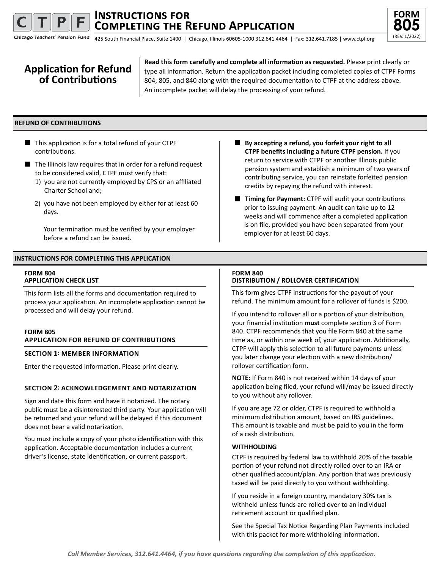## **Completing the Refund Application Instructions for**



Chicago Teachers' Pension Fund (REV. 1/2022) 425 South Financial Place, Suite 1400 | Chicago, Illinois 60605-1000 312.641.4464 | Fax: 312.641.7185 | www.ctpf.org

## **Application for Refund of Contributions**

**Read this form carefully and complete all information as requested.** Please print clearly or type all information. Return the application packet including completed copies of CTPF Forms 804, 805, and 840 along with the required documentation to CTPF at the address above. An incomplete packet will delay the processing of your refund.

## **REFUND OF CONTRIBUTIONS**

- $\blacksquare$  This application is for a total refund of your CTPF contributions.
- $\blacksquare$  The Illinois law requires that in order for a refund request to be considered valid, CTPF must verify that:
	- 1) you are not currently employed by CPS or an affiliated Charter School and;
	- 2) you have not been employed by either for at least 60 days.

Your termination must be verified by your employer before a refund can be issued.

## **INSTRUCTIONS FOR COMPLETING THIS APPLICATION**

### **FORM 804 APPLICATION CHECK LIST**

This form lists all the forms and documentation required to process your application. An incomplete application cannot be processed and will delay your refund.

#### **FORM 805 APPLICATION FOR REFUND OF CONTRIBUTIONS**

## **SECTION 1: MEMBER INFORMATION**

Enter the requested information. Please print clearly.

## **SECTION 2: ACKNOWLEDGEMENT AND NOTARIZATION**

Sign and date this form and have it notarized. The notary public must be a disinterested third party. Your application will be returned and your refund will be delayed if this document does not bear a valid notarization.

You must include a copy of your photo identification with this application. Acceptable documentation includes a current driver's license, state identification, or current passport.

- By accepting a refund, you forfeit your right to all **CTPF benefits including a future CTPF pension.** If you return to service with CTPF or another Illinois public pension system and establish a minimum of two years of contributing service, you can reinstate forfeited pension credits by repaying the refund with interest.
- **Timing for Payment:** CTPF will audit your contributions prior to issuing payment. An audit can take up to 12 weeks and will commence after a completed application is on file, provided you have been separated from your employer for at least 60 days.

## **FORM 840**

## **DISTRIBUTION / ROLLOVER CERTIFICATION**

This form gives CTPF instructions for the payout of your refund. The minimum amount for a rollover of funds is \$200.

If you intend to rollover all or a portion of your distribution, your financial institution **must** complete section 3 of Form 840. CTPF recommends that you file Form 840 at the same time as, or within one week of, your application. Additionally, CTPF will apply this selection to all future payments unless you later change your election with a new distribution/ rollover certification form.

**NOTE:** If Form 840 is not received within 14 days of your application being filed, your refund will/may be issued directly to you without any rollover.

If you are age 72 or older, CTPF is required to withhold a minimum distribution amount, based on IRS guidelines. This amount is taxable and must be paid to you in the form of a cash distribution.

### **WITHHOLDING**

CTPF is required by federal law to withhold 20% of the taxable portion of your refund not directly rolled over to an IRA or other qualified account/plan. Any portion that was previously taxed will be paid directly to you without withholding.

If you reside in a foreign country, mandatory 30% tax is withheld unless funds are rolled over to an individual retirement account or qualified plan.

See the Special Tax Notice Regarding Plan Payments included with this packet for more withholding information.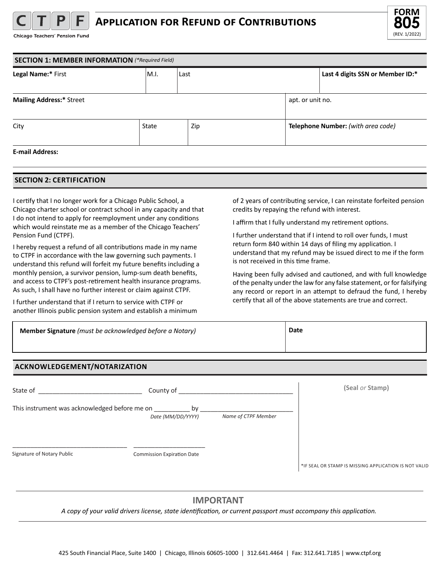

Chicago Teachers' Pension Fund



| <b>SECTION 1: MEMBER INFORMATION</b> (*Required Field) |       |      |  |                                    |  |
|--------------------------------------------------------|-------|------|--|------------------------------------|--|
| Legal Name:* First                                     | IM.I. | Last |  | Last 4 digits SSN or Member ID:*   |  |
|                                                        |       |      |  |                                    |  |
| <b>Mailing Address:* Street</b>                        |       |      |  | apt. or unit no.                   |  |
|                                                        |       |      |  |                                    |  |
| City                                                   | State | Zip  |  | Telephone Number: (with area code) |  |
|                                                        |       |      |  |                                    |  |
| <b>E-mail Address:</b>                                 |       |      |  |                                    |  |

## **SECTION 2: CERTIFICATION**

I certify that I no longer work for a Chicago Public School, a Chicago charter school or contract school in any capacity and that I do not intend to apply for reemployment under any conditions which would reinstate me as a member of the Chicago Teachers' Pension Fund (CTPF).

I hereby request a refund of all contributions made in my name to CTPF in accordance with the law governing such payments. I understand this refund will forfeit my future benefits including a monthly pension, a survivor pension, lump-sum death benefits, and access to CTPF's post-retirement health insurance programs. As such, I shall have no further interest or claim against CTPF.

I further understand that if I return to service with CTPF or another Illinois public pension system and establish a minimum of 2 years of contributing service, I can reinstate forfeited pension credits by repaying the refund with interest.

I affirm that I fully understand my retirement options.

I further understand that if I intend to roll over funds, I must return form 840 within 14 days of filing my application. I understand that my refund may be issued direct to me if the form is not received in this time frame.

Having been fully advised and cautioned, and with full knowledge of the penalty under the law for any false statement, or for falsifying any record or report in an attempt to defraud the fund, I hereby certify that all of the above statements are true and correct.

| Member Signature (must be acknowledged before a Notary) | <b>Date</b> |
|---------------------------------------------------------|-------------|
|                                                         |             |

## **ACKNOWLEDGEMENT/NOTARIZATION**

| State of                                      | County of                         |                     | (Seal or Stamp)                                       |
|-----------------------------------------------|-----------------------------------|---------------------|-------------------------------------------------------|
| This instrument was acknowledged before me on | bv<br>Date (MM/DD/YYYY)           | Name of CTPF Member |                                                       |
| Signature of Notary Public                    | <b>Commission Expiration Date</b> |                     | *IF SEAL OR STAMP IS MISSING APPLICATION IS NOT VALID |

## **IMPORTANT**

 *A copy of your valid drivers license, state identification, or current passport must accompany this application.*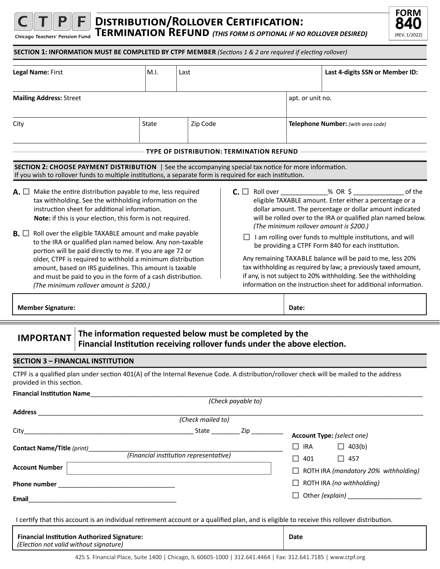

## **Distribution/Rollover Certification: Termination Refund** *(THIS FORM IS OPTIONAL IF NO ROLLOVER DESIRED)*



 **SECTION 1: INFORMATION MUST BE COMPLETED BY CTPF MEMBER** *(Sections 1 & 2 are required if electing rollover)* 

|                                                                                                                                                                                                                                                                                                                                                                                                                                                                                                                                                                                                                                                                                                        | M.I.<br>Last                                             |                   |                                                                          |                  | Last 4-digits SSN or Member ID:                                                                                                                                                                                                                                                                                                                                                                                                                                                                                                                                                                                                                                                                      |
|--------------------------------------------------------------------------------------------------------------------------------------------------------------------------------------------------------------------------------------------------------------------------------------------------------------------------------------------------------------------------------------------------------------------------------------------------------------------------------------------------------------------------------------------------------------------------------------------------------------------------------------------------------------------------------------------------------|----------------------------------------------------------|-------------------|--------------------------------------------------------------------------|------------------|------------------------------------------------------------------------------------------------------------------------------------------------------------------------------------------------------------------------------------------------------------------------------------------------------------------------------------------------------------------------------------------------------------------------------------------------------------------------------------------------------------------------------------------------------------------------------------------------------------------------------------------------------------------------------------------------------|
| <b>Mailing Address: Street</b>                                                                                                                                                                                                                                                                                                                                                                                                                                                                                                                                                                                                                                                                         |                                                          |                   |                                                                          | apt. or unit no. |                                                                                                                                                                                                                                                                                                                                                                                                                                                                                                                                                                                                                                                                                                      |
| City                                                                                                                                                                                                                                                                                                                                                                                                                                                                                                                                                                                                                                                                                                   | State                                                    | Zip Code          |                                                                          |                  | Telephone Number: (with area code)                                                                                                                                                                                                                                                                                                                                                                                                                                                                                                                                                                                                                                                                   |
|                                                                                                                                                                                                                                                                                                                                                                                                                                                                                                                                                                                                                                                                                                        |                                                          |                   |                                                                          |                  |                                                                                                                                                                                                                                                                                                                                                                                                                                                                                                                                                                                                                                                                                                      |
|                                                                                                                                                                                                                                                                                                                                                                                                                                                                                                                                                                                                                                                                                                        |                                                          |                   | TYPE OF DISTRIBUTION: TERMINATION REFUND                                 |                  |                                                                                                                                                                                                                                                                                                                                                                                                                                                                                                                                                                                                                                                                                                      |
| SECTION 2: CHOOSE PAYMENT DISTRIBUTION   See the accompanying special tax notice for more information.<br>If you wish to rollover funds to multiple institutions, a separate form is required for each institution.                                                                                                                                                                                                                                                                                                                                                                                                                                                                                    |                                                          |                   |                                                                          |                  |                                                                                                                                                                                                                                                                                                                                                                                                                                                                                                                                                                                                                                                                                                      |
| $\mathsf{A.} \square$ Make the entire distribution payable to me, less required<br>tax withholding. See the withholding information on the<br>instruction sheet for additional information.<br>Note: if this is your election, this form is not required.<br>$\mathbf{B}$ . $\Box$ Roll over the eligible TAXABLE amount and make payable<br>to the IRA or qualified plan named below. Any non-taxable<br>portion will be paid directly to me. If you are age 72 or<br>older, CTPF is required to withhold a minimum distribution<br>amount, based on IRS guidelines. This amount is taxable<br>and must be paid to you in the form of a cash distribution.<br>(The minimum rollover amount is \$200.) |                                                          |                   |                                                                          |                  | <b>C.</b> $\Box$ Roll over ______________% OR \$ ____________<br>of the<br>eligible TAXABLE amount. Enter either a percentage or a<br>dollar amount. The percentage or dollar amount indicated<br>will be rolled over to the IRA or qualified plan named below.<br>(The minimum rollover amount is \$200.)<br>I am rolling over funds to multiple institutions, and will<br>be providing a CTPF Form 840 for each institution.<br>Any remaining TAXABLE balance will be paid to me, less 20%<br>tax withholding as required by law; a previously taxed amount,<br>if any, is not subject to 20% withholding. See the withholding<br>information on the instruction sheet for additional information. |
| <b>Member Signature:</b>                                                                                                                                                                                                                                                                                                                                                                                                                                                                                                                                                                                                                                                                               |                                                          |                   |                                                                          | Date:            |                                                                                                                                                                                                                                                                                                                                                                                                                                                                                                                                                                                                                                                                                                      |
|                                                                                                                                                                                                                                                                                                                                                                                                                                                                                                                                                                                                                                                                                                        | The information requested below must be completed by the |                   | Financial Institution receiving rollover funds under the above election. |                  |                                                                                                                                                                                                                                                                                                                                                                                                                                                                                                                                                                                                                                                                                                      |
| <b>IMPORTANT</b>                                                                                                                                                                                                                                                                                                                                                                                                                                                                                                                                                                                                                                                                                       |                                                          |                   |                                                                          |                  |                                                                                                                                                                                                                                                                                                                                                                                                                                                                                                                                                                                                                                                                                                      |
| <b>SECTION 3 - FINANCIAL INSTITUTION</b>                                                                                                                                                                                                                                                                                                                                                                                                                                                                                                                                                                                                                                                               |                                                          |                   |                                                                          |                  |                                                                                                                                                                                                                                                                                                                                                                                                                                                                                                                                                                                                                                                                                                      |
| CTPF is a qualified plan under section 401(A) of the Internal Revenue Code. A distribution/rollover check will be mailed to the address<br>provided in this section.                                                                                                                                                                                                                                                                                                                                                                                                                                                                                                                                   |                                                          |                   |                                                                          |                  |                                                                                                                                                                                                                                                                                                                                                                                                                                                                                                                                                                                                                                                                                                      |
|                                                                                                                                                                                                                                                                                                                                                                                                                                                                                                                                                                                                                                                                                                        |                                                          |                   |                                                                          |                  |                                                                                                                                                                                                                                                                                                                                                                                                                                                                                                                                                                                                                                                                                                      |
|                                                                                                                                                                                                                                                                                                                                                                                                                                                                                                                                                                                                                                                                                                        |                                                          |                   | (Check payable to)                                                       |                  |                                                                                                                                                                                                                                                                                                                                                                                                                                                                                                                                                                                                                                                                                                      |
|                                                                                                                                                                                                                                                                                                                                                                                                                                                                                                                                                                                                                                                                                                        |                                                          | (Check mailed to) |                                                                          |                  |                                                                                                                                                                                                                                                                                                                                                                                                                                                                                                                                                                                                                                                                                                      |
|                                                                                                                                                                                                                                                                                                                                                                                                                                                                                                                                                                                                                                                                                                        |                                                          |                   |                                                                          |                  | Account Type: (select one)                                                                                                                                                                                                                                                                                                                                                                                                                                                                                                                                                                                                                                                                           |
| Contact Name/Title (print)___________                                                                                                                                                                                                                                                                                                                                                                                                                                                                                                                                                                                                                                                                  |                                                          |                   |                                                                          | $\Box$ IRA       | $\Box$ 403(b)                                                                                                                                                                                                                                                                                                                                                                                                                                                                                                                                                                                                                                                                                        |
|                                                                                                                                                                                                                                                                                                                                                                                                                                                                                                                                                                                                                                                                                                        | (Financial institution representative)                   |                   |                                                                          | $\Box$ 401       | $\Box$ 457                                                                                                                                                                                                                                                                                                                                                                                                                                                                                                                                                                                                                                                                                           |
| Account Number                                                                                                                                                                                                                                                                                                                                                                                                                                                                                                                                                                                                                                                                                         |                                                          |                   |                                                                          |                  | $\Box$ ROTH IRA (mandatory 20% withholding)                                                                                                                                                                                                                                                                                                                                                                                                                                                                                                                                                                                                                                                          |
| Email<br><u> 1989 - Johann Barn, mars ann an t-Amhain an t-Amhain an t-Amhain an t-Amhain an t-Amhain an t-Amhain an t-Amh</u>                                                                                                                                                                                                                                                                                                                                                                                                                                                                                                                                                                         |                                                          |                   |                                                                          |                  | $\Box$ ROTH IRA (no withholding)                                                                                                                                                                                                                                                                                                                                                                                                                                                                                                                                                                                                                                                                     |

| <b>Financial Institution Authorized Signature:</b> | Date |
|----------------------------------------------------|------|
| (Election not valid without signature)             |      |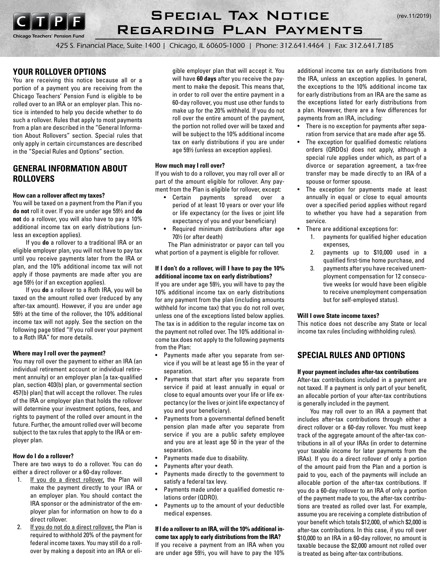

*Chicago Teachers' Pension Fund*

## Special Tax Notice Regarding Plan Payments

425 S. Financial Place, Suite 1400 | Chicago, IL 60605-1000 | Phone: 312.641.4464 | Fax: 312.641.7185

## **YOUR ROLLOVER OPTIONS**

You are receiving this notice because all or a portion of a payment you are receiving from the Chicago Teachers' Pension Fund is eligible to be rolled over to an IRA or an employer plan. This notice is intended to help you decide whether to do such a rollover. Rules that apply to most payments from a plan are described in the "General Information About Rollovers" section. Special rules that only apply in certain circumstances are described in the "Special Rules and Options" section.

## **GENERAL INFORMATION ABOUT ROLLOVERS**

#### **How can a rollover affect my taxes?**

You will be taxed on a payment from the Plan if you **do not** roll it over. If you are under age 59½ and **do not** do a rollover, you will also have to pay a 10% additional income tax on early distributions (unless an exception applies).

If you **do** a rollover to a traditional IRA or an eligible employer plan, you will not have to pay tax until you receive payments later from the IRA or plan, and the 10% additional income tax will not apply if those payments are made after you are age 59½ (or if an exception applies).

If you **do** a rollover to a Roth IRA, you will be taxed on the amount rolled over (reduced by any after-tax amount). However, if you are under age 59½ at the time of the rollover, the 10% additional income tax will not apply. See the section on the following page titled "If you roll over your payment to a Roth IRA" for more details.

### **Where may I roll over the payment?**

You may roll over the payment to either an IRA (an individual retirement account or individual retirement annuity) or an employer plan [a tax-qualified plan, section 403(b) plan, or governmental section 457(b) plan] that will accept the rollover. The rules of the IRA or employer plan that holds the rollover will determine your investment options, fees, and rights to payment of the rolled over amount in the future. Further, the amount rolled over will become subject to the tax rules that apply to the IRA or employer plan.

### **How do I do a rollover?**

There are two ways to do a rollover. You can do either a direct rollover or a 60-day rollover.

- 1. If you do a direct rollover, the Plan will make the payment directly to your IRA or an employer plan. You should contact the IRA sponsor or the administrator of the employer plan for information on how to do a direct rollover.
- 2. If you do not do a direct rollover, the Plan is required to withhold 20% of the payment for federal income taxes. You may still do a rollover by making a deposit into an IRA or eli-

gible employer plan that will accept it. You will have **60 days** after you receive the payment to make the deposit. This means that, in order to roll over the entire payment in a 60-day rollover, you must use other funds to make up for the 20% withheld. If you do not roll over the entire amount of the payment, the portion not rolled over will be taxed and will be subject to the 10% additional income tax on early distributions if you are under age 59½ (unless an exception applies).

#### **How much may I roll over?**

If you wish to do a rollover, you may roll over all or part of the amount eligible for rollover. Any payment from the Plan is eligible for rollover, except:

- • Certain payments spread over a period of at least 10 years or over your life or life expectancy (or the lives or joint life expectancy of you and your beneficiary)
- Required minimum distributions after age 70½ (or after death)

The Plan administrator or payor can tell you what portion of a payment is eligible for rollover.

### **If I don't do a rollover, will I have to pay the 10% additional income tax on early distributions?**

If you are under age 59½, you will have to pay the 10% additional income tax on early distributions for any payment from the plan (including amounts withheld for income tax) that you do not roll over, unless one of the exceptions listed below applies. The tax is in addition to the regular income tax on the payment not rolled over. The 10% additional income tax does not apply to the following payments from the Plan:

- Payments made after you separate from service if you will be at least age 55 in the year of separation.
- Payments that start after you separate from service if paid at least annually in equal or close to equal amounts over your life or life expectancy (or the lives or joint life expectancy of you and your beneficiary).
- • Payments from a governmental defined benefit pension plan made after you separate from service if you are a public safety employee and you are at least age 50 in the year of the separation.
- • Payments made due to disability.
- Payments after your death.
- Payments made directly to the government to satisfy a federal tax levy.
- Payments made under a qualified domestic relations order (QDRO).
- • Payments up to the amount of your deductible medical expenses.

### **If I do a rollover to an IRA, will the 10% additional income tax apply to early distributions from the IRA?**

If you receive a payment from an IRA when you are under age 59½, you will have to pay the 10%

additional income tax on early distributions from the IRA, unless an exception applies. In general, the exceptions to the 10% additional income tax for early distributions from an IRA are the same as the exceptions listed for early distributions from a plan. However, there are a few differences for payments from an IRA, including:

- • There is no exception for payments after separation from service that are made after age 55.
- The exception for qualified domestic relations orders (QRDOs) does not apply, although a special rule applies under which, as part of a divorce or separation agreement, a tax-free transfer may be made directly to an IRA of a spouse or former spouse.
- The exception for payments made at least annually in equal or close to equal amounts over a specified period applies without regard to whether you have had a separation from service.
- There are additional exceptions for:
	- 1. payments for qualified higher education expenses,
	- 2. payments up to \$10,000 used in a qualified first-time home purchase, and
	- 3. payments after you have received unemployment compensation for 12 consecutive weeks (or would have been eligible to receive unemployment compensation but for self-employed status).

### **Will I owe State income taxes?**

This notice does not describe any State or local income tax rules (including withholding rules).

## **SPECIAL RULES AND OPTIONS**

#### **If your payment includes after-tax contributions**

After-tax contributions included in a payment are not taxed. If a payment is only part of your benefit, an allocable portion of your after-tax contributions is generally included in the payment.

You may roll over to an IRA a payment that includes after-tax contributions through either a direct rollover or a 60-day rollover. You must keep track of the aggregate amount of the after-tax contributions in all of your IRAs (in order to determine your taxable income for later payments from the IRAs). If you do a direct rollover of only a portion of the amount paid from the Plan and a portion is paid to you, each of the payments will include an allocable portion of the after-tax contributions. If you do a 60-day rollover to an IRA of only a portion of the payment made to you, the after-tax contributions are treated as rolled over last. For example, assume you are receiving a complete distribution of your benefit which totals \$12,000, of which \$2,000 is after-tax contributions. In this case, if you roll over \$10,000 to an IRA in a 60-day rollover, no amount is taxable because the \$2,000 amount not rolled over is treated as being after-tax contributions.